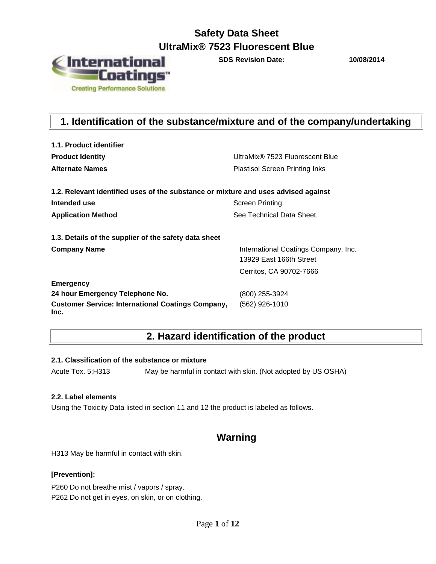

**SDS Revision Date: 10/08/2014**

## **1. Identification of the substance/mixture and of the company/undertaking**

| 1.1. Product identifier                                                            |                                                                 |  |  |  |
|------------------------------------------------------------------------------------|-----------------------------------------------------------------|--|--|--|
| <b>Product Identity</b>                                                            | UltraMix® 7523 Fluorescent Blue                                 |  |  |  |
| <b>Alternate Names</b>                                                             | <b>Plastisol Screen Printing Inks</b>                           |  |  |  |
| 1.2. Relevant identified uses of the substance or mixture and uses advised against |                                                                 |  |  |  |
| Intended use                                                                       | Screen Printing.                                                |  |  |  |
| <b>Application Method</b>                                                          | See Technical Data Sheet.                                       |  |  |  |
| 1.3. Details of the supplier of the safety data sheet                              |                                                                 |  |  |  |
| <b>Company Name</b>                                                                | International Coatings Company, Inc.<br>13929 East 166th Street |  |  |  |
|                                                                                    | Cerritos, CA 90702-7666                                         |  |  |  |
| <b>Emergency</b>                                                                   |                                                                 |  |  |  |
| 24 hour Emergency Telephone No.                                                    | (800) 255-3924                                                  |  |  |  |
| <b>Customer Service: International Coatings Company,</b><br>Inc.                   | (562) 926-1010                                                  |  |  |  |

### **2. Hazard identification of the product**

### **2.1. Classification of the substance or mixture**

Acute Tox. 5;H313 May be harmful in contact with skin. (Not adopted by US OSHA)

### **2.2. Label elements**

Using the Toxicity Data listed in section 11 and 12 the product is labeled as follows.

### **Warning**

H313 May be harmful in contact with skin.

### **[Prevention]:**

P260 Do not breathe mist / vapors / spray. P262 Do not get in eyes, on skin, or on clothing.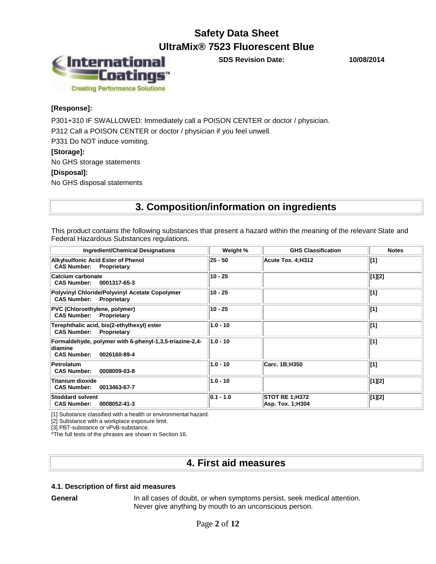

**SDS Revision Date: 10/08/2014**

### **[Response]:**

P301+310 IF SWALLOWED: Immediately call a POISON CENTER or doctor / physician.

P312 Call a POISON CENTER or doctor / physician if you feel unwell.

P331 Do NOT induce vomiting.

### **[Storage]:**

No GHS storage statements

### **[Disposal]:**

No GHS disposal statements

### **3. Composition/information on ingredients**

This product contains the following substances that present a hazard within the meaning of the relevant State and Federal Hazardous Substances regulations.

| <b>Ingredient/Chemical Designations</b>                                                                         | Weight %      | <b>GHS Classification</b>                 | <b>Notes</b> |
|-----------------------------------------------------------------------------------------------------------------|---------------|-------------------------------------------|--------------|
| <b>Alkylsulfonic Acid Ester of Phenol</b><br><b>CAS Number:</b><br>Proprietary                                  | 25 - 50       | Acute Tox. 4:H312                         | $\vert$ [1]  |
| Calcium carbonate<br><b>CAS Number:</b><br>0001317-65-3                                                         | 10 - 25       |                                           | [1][2]       |
| Polyvinyl Chloride/Polyvinyl Acetate Copolymer<br><b>CAS Number:</b><br>Proprietary                             | 10 - 25       |                                           | $\vert$ [1]  |
| PVC (Chloroethylene, polymer)<br><b>CAS Number: Proprietary</b>                                                 | 10 - 25       |                                           | $\vert$ [1]  |
| Terephthalic acid, bis(2-ethylhexyl) ester<br>Proprietary<br><b>CAS Number:</b>                                 | $1.0 - 10$    |                                           | $\vert$ [1]  |
| Formaldehyde, polymer with 6-phenyl-1,3,5-triazine-2,4-<br><b>diamine</b><br><b>CAS Number:</b><br>0026160-89-4 | $1.0 - 10$    |                                           | $\vert$ [1]  |
| Petrolatum<br>0008009-03-8<br><b>CAS Number:</b>                                                                | $1.0 - 10$    | Carc. 1B;H350                             | $\vert$ [1]  |
| <b>Titanium dioxide</b><br><b>CAS Number:</b><br>0013463-67-7                                                   | $1.0 - 10$    |                                           | [1][2]       |
| <b>Stoddard solvent</b><br>0008052-41-3<br><b>CAS Number:</b>                                                   | $ 0.1 - 1.0 $ | <b>STOT RE 1:H372</b><br>Asp. Tox. 1;H304 | [1][2]       |

[1] Substance classified with a health or environmental hazard.

[2] Substance with a workplace exposure limit.

[3] PBT-substance or vPvB-substance.

\*The full texts of the phrases are shown in Section 16.

### **4. First aid measures**

### **4.1. Description of first aid measures**

**General** In all cases of doubt, or when symptoms persist, seek medical attention. Never give anything by mouth to an unconscious person.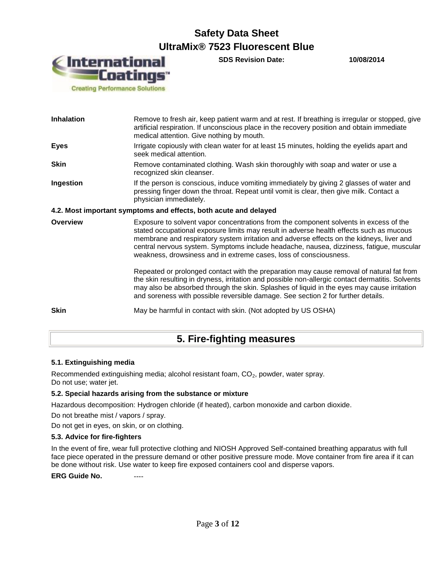

**SDS Revision Date: 10/08/2014**

| 5. Fire-fighting measures |                                                                                                                                                                                                                                                                                                                                                                                                                                              |  |  |  |
|---------------------------|----------------------------------------------------------------------------------------------------------------------------------------------------------------------------------------------------------------------------------------------------------------------------------------------------------------------------------------------------------------------------------------------------------------------------------------------|--|--|--|
| <b>Skin</b>               | May be harmful in contact with skin. (Not adopted by US OSHA)                                                                                                                                                                                                                                                                                                                                                                                |  |  |  |
|                           | Repeated or prolonged contact with the preparation may cause removal of natural fat from<br>the skin resulting in dryness, irritation and possible non-allergic contact dermatitis. Solvents<br>may also be absorbed through the skin. Splashes of liquid in the eyes may cause irritation<br>and soreness with possible reversible damage. See section 2 for further details.                                                               |  |  |  |
| <b>Overview</b>           | Exposure to solvent vapor concentrations from the component solvents in excess of the<br>stated occupational exposure limits may result in adverse health effects such as mucous<br>membrane and respiratory system irritation and adverse effects on the kidneys, liver and<br>central nervous system. Symptoms include headache, nausea, dizziness, fatigue, muscular<br>weakness, drowsiness and in extreme cases, loss of consciousness. |  |  |  |
|                           | 4.2. Most important symptoms and effects, both acute and delayed                                                                                                                                                                                                                                                                                                                                                                             |  |  |  |
| Ingestion                 | If the person is conscious, induce vomiting immediately by giving 2 glasses of water and<br>pressing finger down the throat. Repeat until vomit is clear, then give milk. Contact a<br>physician immediately.                                                                                                                                                                                                                                |  |  |  |
| <b>Skin</b>               | Remove contaminated clothing. Wash skin thoroughly with soap and water or use a<br>recognized skin cleanser.                                                                                                                                                                                                                                                                                                                                 |  |  |  |
| <b>Eyes</b>               | Irrigate copiously with clean water for at least 15 minutes, holding the eyelids apart and<br>seek medical attention.                                                                                                                                                                                                                                                                                                                        |  |  |  |
| <b>Inhalation</b>         | Remove to fresh air, keep patient warm and at rest. If breathing is irregular or stopped, give<br>artificial respiration. If unconscious place in the recovery position and obtain immediate<br>medical attention. Give nothing by mouth.                                                                                                                                                                                                    |  |  |  |

### **5.1. Extinguishing media**

Recommended extinguishing media; alcohol resistant foam,  $CO<sub>2</sub>$ , powder, water spray. Do not use; water jet.

#### **5.2. Special hazards arising from the substance or mixture**

Hazardous decomposition: Hydrogen chloride (if heated), carbon monoxide and carbon dioxide.

Do not breathe mist / vapors / spray.

Do not get in eyes, on skin, or on clothing.

#### **5.3. Advice for fire-fighters**

In the event of fire, wear full protective clothing and NIOSH Approved Self-contained breathing apparatus with full face piece operated in the pressure demand or other positive pressure mode. Move container from fire area if it can be done without risk. Use water to keep fire exposed containers cool and disperse vapors.

**ERG Guide No. ----**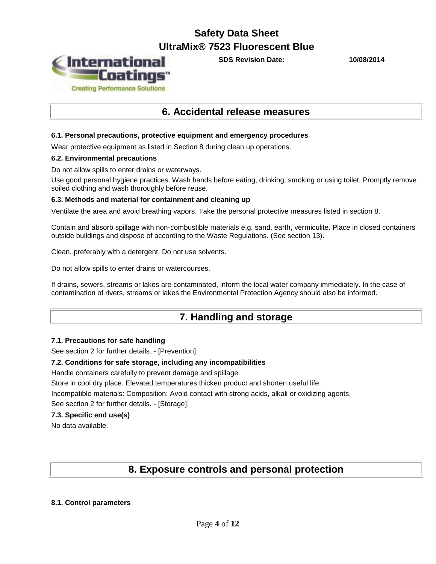

**SDS Revision Date: 10/08/2014**

### **6. Accidental release measures**

### **6.1. Personal precautions, protective equipment and emergency procedures**

Wear protective equipment as listed in Section 8 during clean up operations.

#### **6.2. Environmental precautions**

Do not allow spills to enter drains or waterways.

Use good personal hygiene practices. Wash hands before eating, drinking, smoking or using toilet. Promptly remove soiled clothing and wash thoroughly before reuse.

#### **6.3. Methods and material for containment and cleaning up**

Ventilate the area and avoid breathing vapors. Take the personal protective measures listed in section 8.

Contain and absorb spillage with non-combustible materials e.g. sand, earth, vermiculite. Place in closed containers outside buildings and dispose of according to the Waste Regulations. (See section 13).

Clean, preferably with a detergent. Do not use solvents.

Do not allow spills to enter drains or watercourses.

If drains, sewers, streams or lakes are contaminated, inform the local water company immediately. In the case of contamination of rivers, streams or lakes the Environmental Protection Agency should also be informed.

### **7. Handling and storage**

#### **7.1. Precautions for safe handling**

See section 2 for further details. - [Prevention]:

#### **7.2. Conditions for safe storage, including any incompatibilities**

Handle containers carefully to prevent damage and spillage.

Store in cool dry place. Elevated temperatures thicken product and shorten useful life.

Incompatible materials: Composition: Avoid contact with strong acids, alkali or oxidizing agents.

See section 2 for further details. - [Storage]:

### **7.3. Specific end use(s)**

No data available.

### **8. Exposure controls and personal protection**

#### **8.1. Control parameters**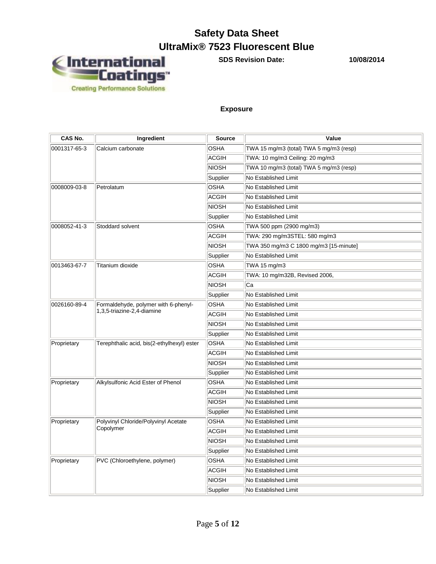# **Safety Data Sheet**



**SDS Revision Date: 10/08/2014**

### **Exposure**

| CAS No.      | Ingredient                                                         | <b>Source</b> | Value                                   |
|--------------|--------------------------------------------------------------------|---------------|-----------------------------------------|
| 0001317-65-3 | Calcium carbonate                                                  | <b>OSHA</b>   | TWA 15 mg/m3 (total) TWA 5 mg/m3 (resp) |
|              |                                                                    | <b>ACGIH</b>  | TWA: 10 mg/m3 Ceiling: 20 mg/m3         |
|              |                                                                    | <b>NIOSH</b>  | TWA 10 mg/m3 (total) TWA 5 mg/m3 (resp) |
|              |                                                                    | Supplier      | No Established Limit                    |
| 0008009-03-8 | Petrolatum                                                         | OSHA          | No Established Limit                    |
|              |                                                                    | <b>ACGIH</b>  | No Established Limit                    |
|              |                                                                    | <b>NIOSH</b>  | No Established Limit                    |
|              |                                                                    | Supplier      | No Established Limit                    |
| 0008052-41-3 | Stoddard solvent                                                   | OSHA          | TWA 500 ppm (2900 mg/m3)                |
|              |                                                                    | <b>ACGIH</b>  | TWA: 290 mg/m3STEL: 580 mg/m3           |
|              |                                                                    | NIOSH         | TWA 350 mg/m3 C 1800 mg/m3 [15-minute]  |
|              |                                                                    | Supplier      | No Established Limit                    |
| 0013463-67-7 | Titanium dioxide                                                   | OSHA          | TWA 15 mg/m3                            |
|              |                                                                    | <b>ACGIH</b>  | TWA: 10 mg/m32B, Revised 2006,          |
|              |                                                                    | <b>NIOSH</b>  | Ca                                      |
|              |                                                                    | Supplier      | No Established Limit                    |
| 0026160-89-4 | Formaldehyde, polymer with 6-phenyl-<br>1,3,5-triazine-2,4-diamine | OSHA          | No Established Limit                    |
|              |                                                                    | ACGIH         | No Established Limit                    |
|              |                                                                    | <b>NIOSH</b>  | No Established Limit                    |
|              |                                                                    | Supplier      | No Established Limit                    |
| Proprietary  | Terephthalic acid, bis(2-ethylhexyl) ester                         | OSHA          | No Established Limit                    |
|              |                                                                    | <b>ACGIH</b>  | No Established Limit                    |
|              |                                                                    | NIOSH         | No Established Limit                    |
|              |                                                                    | Supplier      | No Established Limit                    |
| Proprietary  | Alkylsulfonic Acid Ester of Phenol                                 | OSHA          | No Established Limit                    |
|              |                                                                    | <b>ACGIH</b>  | No Established Limit                    |
|              |                                                                    | <b>NIOSH</b>  | No Established Limit                    |
|              |                                                                    | Supplier      | No Established Limit                    |
| Proprietary  | Polyvinyl Chloride/Polyvinyl Acetate                               | <b>OSHA</b>   | No Established Limit                    |
|              | Copolymer                                                          | ACGIH         | No Established Limit                    |
|              |                                                                    | NIOSH         | No Established Limit                    |
|              |                                                                    | Supplier      | No Established Limit                    |
| Proprietary  | PVC (Chloroethylene, polymer)                                      | OSHA          | No Established Limit                    |
|              |                                                                    | <b>ACGIH</b>  | No Established Limit                    |
|              |                                                                    | NIOSH         | No Established Limit                    |
|              |                                                                    | Supplier      | No Established Limit                    |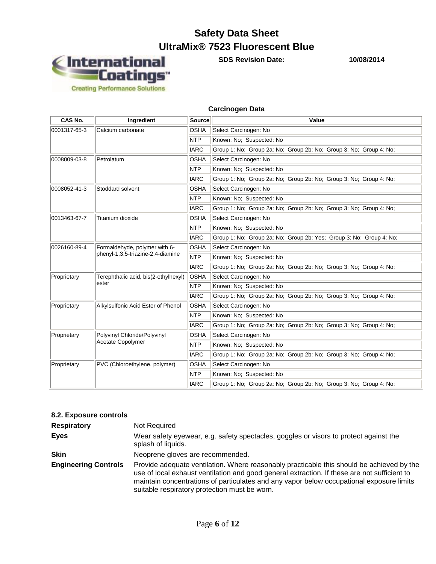# **Safety Data Sheet**



**SDS Revision Date: 10/08/2014**

#### **Carcinogen Data**

| CAS No.                                       | Ingredient                           | Source      | Value                                                               |  |  |  |  |
|-----------------------------------------------|--------------------------------------|-------------|---------------------------------------------------------------------|--|--|--|--|
| 0001317-65-3                                  | Calcium carbonate                    | <b>OSHA</b> | Select Carcinogen: No                                               |  |  |  |  |
|                                               |                                      | <b>NTP</b>  | Known: No: Suspected: No                                            |  |  |  |  |
|                                               |                                      | <b>IARC</b> | Group 1: No; Group 2a: No; Group 2b: No; Group 3: No; Group 4: No;  |  |  |  |  |
| 0008009-03-8                                  | Petrolatum                           | <b>OSHA</b> | Select Carcinogen: No                                               |  |  |  |  |
|                                               |                                      | <b>NTP</b>  | Known: No: Suspected: No                                            |  |  |  |  |
|                                               |                                      | <b>IARC</b> | Group 1: No; Group 2a: No; Group 2b: No; Group 3: No; Group 4: No;  |  |  |  |  |
| 0008052-41-3                                  | Stoddard solvent                     | OSHA        | Select Carcinogen: No                                               |  |  |  |  |
|                                               |                                      | <b>NTP</b>  | Known: No; Suspected: No                                            |  |  |  |  |
|                                               |                                      | <b>IARC</b> | Group 1: No; Group 2a: No; Group 2b: No; Group 3: No; Group 4: No;  |  |  |  |  |
| 0013463-67-7                                  | Titanium dioxide                     | <b>OSHA</b> | Select Carcinogen: No                                               |  |  |  |  |
|                                               |                                      | <b>NTP</b>  | Known: No: Suspected: No                                            |  |  |  |  |
|                                               |                                      | <b>IARC</b> | Group 1: No; Group 2a: No; Group 2b: Yes; Group 3: No; Group 4: No; |  |  |  |  |
| 0026160-89-4<br>Formaldehyde, polymer with 6- |                                      | <b>OSHA</b> | Select Carcinogen: No                                               |  |  |  |  |
|                                               | phenyl-1,3,5-triazine-2,4-diamine    | <b>NTP</b>  | Known: No: Suspected: No                                            |  |  |  |  |
|                                               |                                      | <b>IARC</b> | Group 1: No; Group 2a: No; Group 2b: No; Group 3: No; Group 4: No;  |  |  |  |  |
| Proprietary                                   | Terephthalic acid, bis(2-ethylhexyl) | <b>OSHA</b> | Select Carcinogen: No                                               |  |  |  |  |
|                                               | ester                                | <b>NTP</b>  | Known: No; Suspected: No                                            |  |  |  |  |
|                                               |                                      | <b>IARC</b> | Group 1: No: Group 2a: No: Group 2b: No: Group 3: No: Group 4: No:  |  |  |  |  |
| Proprietary                                   | Alkylsulfonic Acid Ester of Phenol   | <b>OSHA</b> | Select Carcinogen: No                                               |  |  |  |  |
|                                               |                                      | <b>NTP</b>  | Known: No; Suspected: No                                            |  |  |  |  |
|                                               |                                      | <b>IARC</b> | Group 1: No; Group 2a: No; Group 2b: No; Group 3: No; Group 4: No;  |  |  |  |  |
| Proprietary                                   | Polyvinyl Chloride/Polyvinyl         | <b>OSHA</b> | Select Carcinogen: No                                               |  |  |  |  |
|                                               | Acetate Copolymer                    | NTP         | Known: No; Suspected: No                                            |  |  |  |  |
|                                               |                                      | <b>IARC</b> | Group 1: No; Group 2a: No; Group 2b: No; Group 3: No; Group 4: No;  |  |  |  |  |
| Proprietary                                   | PVC (Chloroethylene, polymer)        | OSHA        | Select Carcinogen: No                                               |  |  |  |  |
|                                               |                                      | <b>NTP</b>  | Known: No: Suspected: No                                            |  |  |  |  |
|                                               |                                      | <b>IARC</b> | Group 1: No; Group 2a: No; Group 2b: No; Group 3: No; Group 4: No;  |  |  |  |  |

### **8.2. Exposure controls**

| <b>Respiratory</b>          | Not Required                                                                                                                                                                                                                                                                                                                           |
|-----------------------------|----------------------------------------------------------------------------------------------------------------------------------------------------------------------------------------------------------------------------------------------------------------------------------------------------------------------------------------|
| <b>Eyes</b>                 | Wear safety eyewear, e.g. safety spectacles, goggles or visors to protect against the<br>splash of liquids.                                                                                                                                                                                                                            |
| <b>Skin</b>                 | Neoprene gloves are recommended.                                                                                                                                                                                                                                                                                                       |
| <b>Engineering Controls</b> | Provide adequate ventilation. Where reasonably practicable this should be achieved by the<br>use of local exhaust ventilation and good general extraction. If these are not sufficient to<br>maintain concentrations of particulates and any vapor below occupational exposure limits<br>suitable respiratory protection must be worn. |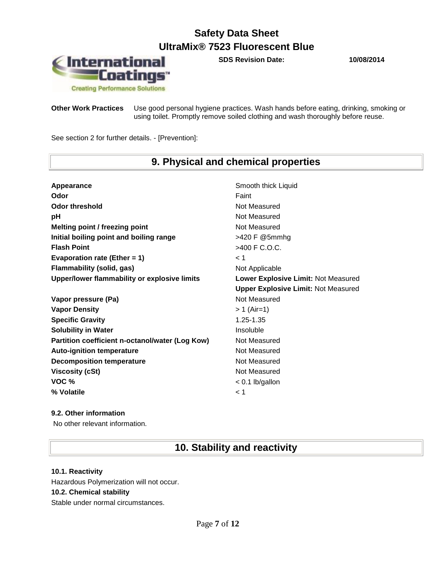**SDS Revision Date: 10/08/2014**



**Other Work Practices** Use good personal hygiene practices. Wash hands before eating, drinking, smoking or using toilet. Promptly remove soiled clothing and wash thoroughly before reuse.

See section 2 for further details. - [Prevention]:

# **9. Physical and chemical properties**

| Appearance                                      | Smooth thick Liquid                        |
|-------------------------------------------------|--------------------------------------------|
| Odor                                            | Faint                                      |
| Odor threshold                                  | Not Measured                               |
| рH                                              | Not Measured                               |
| Melting point / freezing point                  | Not Measured                               |
| Initial boiling point and boiling range         | >420 F @5mmhg                              |
| <b>Flash Point</b>                              | >400 F C.O.C.                              |
| Evaporation rate (Ether = $1$ )                 | $\leq 1$                                   |
| <b>Flammability (solid, gas)</b>                | Not Applicable                             |
| Upper/lower flammability or explosive limits    | Lower Explosive Limit: Not Measured        |
|                                                 | <b>Upper Explosive Limit: Not Measured</b> |
| Vapor pressure (Pa)                             | Not Measured                               |
| <b>Vapor Density</b>                            | $> 1$ (Air=1)                              |
| <b>Specific Gravity</b>                         | 1.25-1.35                                  |
| <b>Solubility in Water</b>                      | Insoluble                                  |
| Partition coefficient n-octanol/water (Log Kow) | Not Measured                               |
| <b>Auto-ignition temperature</b>                | Not Measured                               |
| <b>Decomposition temperature</b>                | Not Measured                               |
| <b>Viscosity (cSt)</b>                          | Not Measured                               |
| VOC %                                           | $< 0.1$ lb/gallon                          |
| % Volatile                                      | < 1                                        |

### **9.2. Other information**

No other relevant information.

### **10. Stability and reactivity**

### **10.1. Reactivity**

Hazardous Polymerization will not occur. **10.2. Chemical stability** Stable under normal circumstances.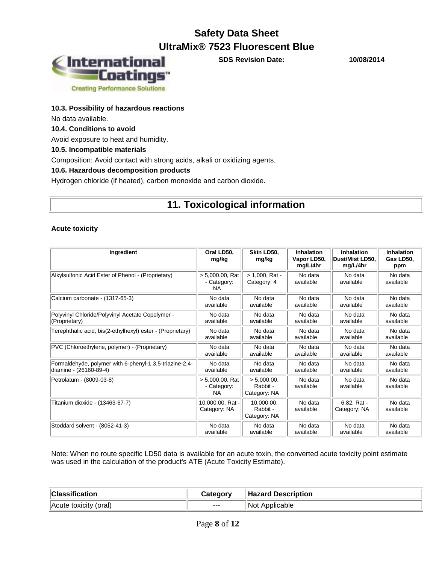

**SDS Revision Date: 10/08/2014**

### **10.3. Possibility of hazardous reactions**

No data available.

### **10.4. Conditions to avoid**

Avoid exposure to heat and humidity.

### **10.5. Incompatible materials**

Composition: Avoid contact with strong acids, alkali or oxidizing agents.

### **10.6. Hazardous decomposition products**

Hydrogen chloride (if heated), carbon monoxide and carbon dioxide.

### **11. Toxicological information**

### **Acute toxicity**

| Ingredient                                                 | Oral LD50,<br>mg/kg                            | Skin LD50.<br>mg/kg                     | Inhalation<br>Vapor LD50,<br>mg/L/4hr | Inhalation<br>Dust/Mist LD50.<br>mg/L/4hr | <b>Inhalation</b><br>Gas LD50.<br>ppm |
|------------------------------------------------------------|------------------------------------------------|-----------------------------------------|---------------------------------------|-------------------------------------------|---------------------------------------|
| Alkylsulfonic Acid Ester of Phenol - (Proprietary)         | $> 5,000.00$ , Rat<br>- Category:<br><b>NA</b> | $> 1,000$ , Rat -<br>Category: 4        | No data<br>available                  | No data<br>available                      | No data<br>available                  |
| Calcium carbonate - (1317-65-3)                            | No data                                        | No data                                 | No data                               | No data                                   | No data                               |
|                                                            | available                                      | available                               | available                             | available                                 | available                             |
| Polyvinyl Chloride/Polyvinyl Acetate Copolymer -           | No data                                        | No data                                 | No data                               | No data                                   | No data                               |
| (Proprietary)                                              | available                                      | available                               | available                             | available                                 | available                             |
| Terephthalic acid, bis(2-ethylhexyl) ester - (Proprietary) | No data                                        | No data                                 | No data                               | No data                                   | No data                               |
|                                                            | available                                      | available                               | available                             | available                                 | available                             |
| PVC (Chloroethylene, polymer) - (Proprietary)              | No data                                        | No data                                 | No data                               | No data                                   | No data                               |
|                                                            | available                                      | available                               | available                             | available                                 | available                             |
| Formaldehyde, polymer with 6-phenyl-1,3,5-triazine-2,4-    | No data                                        | No data                                 | No data                               | No data                                   | No data                               |
| diamine - (26160-89-4)                                     | available                                      | available                               | available                             | available                                 | available                             |
| Petrolatum - (8009-03-8)                                   | $> 5.000.00$ . Rat<br>- Category:<br><b>NA</b> | > 5.000.00.<br>Rabbit -<br>Category: NA | No data<br>available                  | No data<br>available                      | No data<br>available                  |
| Titanium dioxide - (13463-67-7)                            | 10,000.00, Rat -<br>Category: NA               | 10.000.00.<br>Rabbit -<br>Category: NA  | No data<br>available                  | 6.82, Rat -<br>Category: NA               | No data<br>available                  |
| Stoddard solvent - (8052-41-3)                             | No data                                        | No data                                 | No data                               | No data                                   | No data                               |
|                                                            | available                                      | available                               | available                             | available                                 | available                             |

Note: When no route specific LD50 data is available for an acute toxin, the converted acute toxicity point estimate was used in the calculation of the product's ATE (Acute Toxicity Estimate).

| <b>Classification</b> | Category | Hazard Description |
|-----------------------|----------|--------------------|
| Acute toxicity (oral) | ---      | Not Applicable     |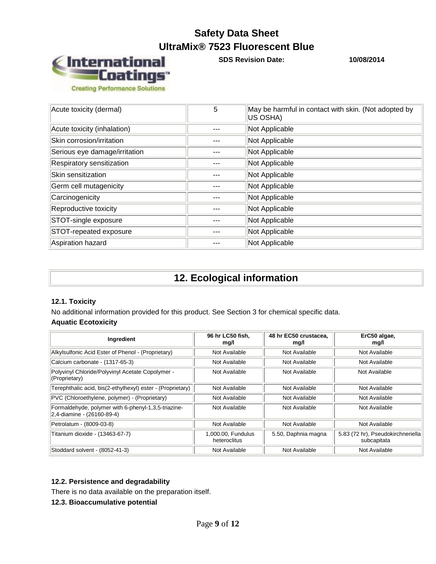

**SDS Revision Date: 10/08/2014**

| Acute toxicity (dermal)       | 5 | May be harmful in contact with skin. (Not adopted by<br>US OSHA) |
|-------------------------------|---|------------------------------------------------------------------|
| Acute toxicity (inhalation)   |   | Not Applicable                                                   |
| Skin corrosion/irritation     |   | Not Applicable                                                   |
| Serious eye damage/irritation |   | Not Applicable                                                   |
| Respiratory sensitization     |   | Not Applicable                                                   |
| Skin sensitization            |   | Not Applicable                                                   |
| Germ cell mutagenicity        |   | Not Applicable                                                   |
| Carcinogenicity               |   | Not Applicable                                                   |
| Reproductive toxicity         |   | Not Applicable                                                   |
| STOT-single exposure          |   | Not Applicable                                                   |
| STOT-repeated exposure        |   | Not Applicable                                                   |
| Aspiration hazard             |   | Not Applicable                                                   |

### **12. Ecological information**

### **12.1. Toxicity**

No additional information provided for this product. See Section 3 for chemical specific data.

### **Aquatic Ecotoxicity**

| Ingredient                                                                        | 96 hr LC50 fish.<br>mg/l           | 48 hr EC50 crustacea.<br>mg/l | ErC50 algae,<br>mg/l                             |
|-----------------------------------------------------------------------------------|------------------------------------|-------------------------------|--------------------------------------------------|
| Alkylsulfonic Acid Ester of Phenol - (Proprietary)                                | Not Available                      | Not Available                 | Not Available                                    |
| Calcium carbonate - (1317-65-3)                                                   | Not Available                      | Not Available                 | Not Available                                    |
| Polyvinyl Chloride/Polyvinyl Acetate Copolymer -<br>(Proprietary)                 | Not Available                      | Not Available                 | Not Available                                    |
| Terephthalic acid, bis(2-ethylhexyl) ester - (Proprietary)                        | Not Available                      | Not Available                 | Not Available                                    |
| PVC (Chloroethylene, polymer) - (Proprietary)                                     | Not Available                      | Not Available                 | Not Available                                    |
| Formaldehyde, polymer with 6-phenyl-1,3,5-triazine-<br>2,4-diamine - (26160-89-4) | Not Available                      | Not Available                 | Not Available                                    |
| Petrolatum - (8009-03-8)                                                          | Not Available                      | Not Available                 | Not Available                                    |
| Titanium dioxide - (13463-67-7)                                                   | 1,000.00, Fundulus<br>heteroclitus | 5.50, Daphnia magna           | 5.83 (72 hr), Pseudokirchneriella<br>subcapitata |
| Stoddard solvent - (8052-41-3)                                                    | Not Available                      | Not Available                 | Not Available                                    |

### **12.2. Persistence and degradability**

There is no data available on the preparation itself.

**12.3. Bioaccumulative potential**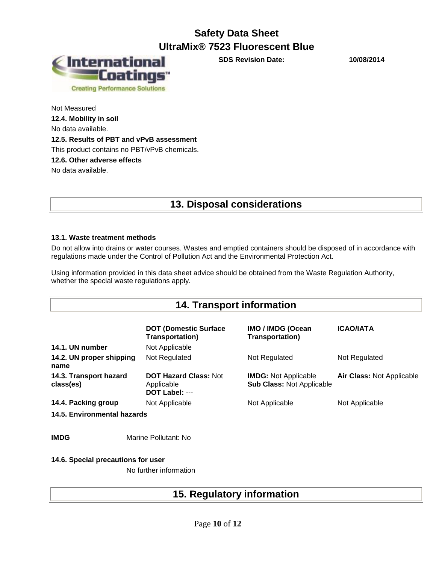

**SDS Revision Date: 10/08/2014**

Not Measured **12.4. Mobility in soil** No data available. **12.5. Results of PBT and vPvB assessment** This product contains no PBT/vPvB chemicals. **12.6. Other adverse effects** No data available.

### **13. Disposal considerations**

### **13.1. Waste treatment methods**

Do not allow into drains or water courses. Wastes and emptied containers should be disposed of in accordance with regulations made under the Control of Pollution Act and the Environmental Protection Act.

Using information provided in this data sheet advice should be obtained from the Waste Regulation Authority, whether the special waste regulations apply.

| <b>14. Transport information</b>    |                                                              |                                                                 |                                  |  |  |
|-------------------------------------|--------------------------------------------------------------|-----------------------------------------------------------------|----------------------------------|--|--|
|                                     | <b>DOT (Domestic Surface</b><br><b>Transportation</b> )      | <b>IMO / IMDG (Ocean</b><br><b>Transportation)</b>              | <b>ICAO/IATA</b>                 |  |  |
| 14.1. UN number                     | Not Applicable                                               |                                                                 |                                  |  |  |
| 14.2. UN proper shipping<br>name    | Not Regulated                                                | Not Regulated                                                   | Not Regulated                    |  |  |
| 14.3. Transport hazard<br>class(es) | <b>DOT Hazard Class: Not</b><br>Applicable<br>DOT Label: --- | <b>IMDG:</b> Not Applicable<br><b>Sub Class: Not Applicable</b> | <b>Air Class: Not Applicable</b> |  |  |
| 14.4. Packing group                 | Not Applicable                                               | Not Applicable                                                  | Not Applicable                   |  |  |
| 14.5. Environmental hazards         |                                                              |                                                                 |                                  |  |  |
|                                     |                                                              |                                                                 |                                  |  |  |
| <b>IMDG</b>                         | Marine Pollutant: No                                         |                                                                 |                                  |  |  |

**14.6. Special precautions for user**

No further information

|  |  |  |  | <b>15. Regulatory information</b> |
|--|--|--|--|-----------------------------------|
|--|--|--|--|-----------------------------------|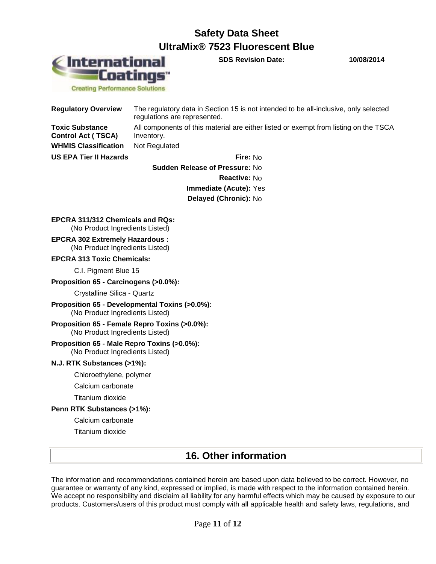

**SDS Revision Date: 10/08/2014**

**Creating Performance Solutions** 

| <b>Regulatory Overview</b>                          | The regulatory data in Section 15 is not intended to be all-inclusive, only selected<br>regulations are represented. |
|-----------------------------------------------------|----------------------------------------------------------------------------------------------------------------------|
| <b>Toxic Substance</b><br><b>Control Act (TSCA)</b> | All components of this material are either listed or exempt from listing on the TSCA<br>Inventory.                   |
| <b>WHMIS Classification</b>                         | Not Regulated                                                                                                        |
| <b>US EPA Tier II Hazards</b>                       | <b>Fire: No</b>                                                                                                      |
|                                                     | <b>Cuddon Polonco of Droccuro: No.</b>                                                                               |

**Sudden Release of Pressure:** No **Reactive:** No **Immediate (Acute):** Yes **Delayed (Chronic):** No

### **EPCRA 311/312 Chemicals and RQs:**

(No Product Ingredients Listed)

**EPCRA 302 Extremely Hazardous :** (No Product Ingredients Listed)

#### **EPCRA 313 Toxic Chemicals:**

C.I. Pigment Blue 15

#### **Proposition 65 - Carcinogens (>0.0%):**

Crystalline Silica - Quartz

**Proposition 65 - Developmental Toxins (>0.0%):** (No Product Ingredients Listed)

#### **Proposition 65 - Female Repro Toxins (>0.0%):** (No Product Ingredients Listed)

### **Proposition 65 - Male Repro Toxins (>0.0%):**

(No Product Ingredients Listed)

### **N.J. RTK Substances (>1%):**

Chloroethylene, polymer

Calcium carbonate

Titanium dioxide

### **Penn RTK Substances (>1%):**

Calcium carbonate

Titanium dioxide

### **16. Other information**

The information and recommendations contained herein are based upon data believed to be correct. However, no guarantee or warranty of any kind, expressed or implied, is made with respect to the information contained herein. We accept no responsibility and disclaim all liability for any harmful effects which may be caused by exposure to our products. Customers/users of this product must comply with all applicable health and safety laws, regulations, and